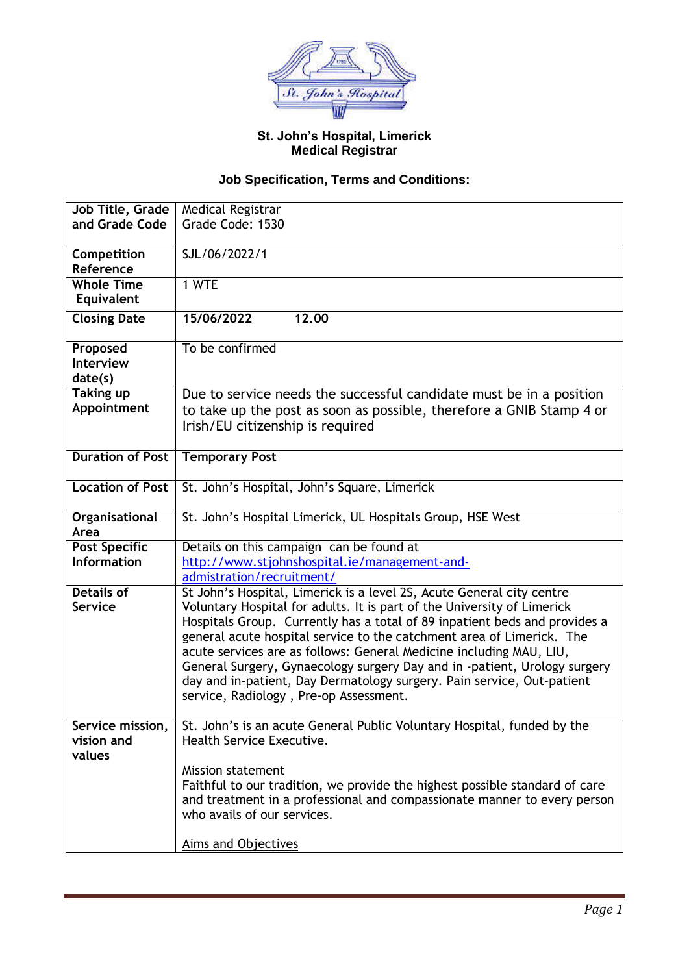

## **St. John's Hospital, Limerick Medical Registrar**

## **Job Specification, Terms and Conditions:**

| Job Title, Grade        | Medical Registrar                                                           |
|-------------------------|-----------------------------------------------------------------------------|
| and Grade Code          | Grade Code: 1530                                                            |
|                         |                                                                             |
| Competition             | SJL/06/2022/1                                                               |
| Reference               |                                                                             |
| <b>Whole Time</b>       | 1 WTE                                                                       |
| Equivalent              |                                                                             |
| <b>Closing Date</b>     | 15/06/2022<br>12.00                                                         |
|                         |                                                                             |
| Proposed                | To be confirmed                                                             |
| <b>Interview</b>        |                                                                             |
| date(s)                 |                                                                             |
| <b>Taking up</b>        | Due to service needs the successful candidate must be in a position         |
| Appointment             | to take up the post as soon as possible, therefore a GNIB Stamp 4 or        |
|                         | Irish/EU citizenship is required                                            |
|                         |                                                                             |
| <b>Duration of Post</b> | <b>Temporary Post</b>                                                       |
|                         |                                                                             |
| <b>Location of Post</b> | St. John's Hospital, John's Square, Limerick                                |
|                         |                                                                             |
| Organisational          | St. John's Hospital Limerick, UL Hospitals Group, HSE West                  |
| Area                    |                                                                             |
| <b>Post Specific</b>    | Details on this campaign can be found at                                    |
| <b>Information</b>      | http://www.stjohnshospital.ie/management-and-                               |
|                         | admistration/recruitment/                                                   |
| <b>Details of</b>       | St John's Hospital, Limerick is a level 2S, Acute General city centre       |
| <b>Service</b>          | Voluntary Hospital for adults. It is part of the University of Limerick     |
|                         | Hospitals Group. Currently has a total of 89 inpatient beds and provides a  |
|                         | general acute hospital service to the catchment area of Limerick. The       |
|                         | acute services are as follows: General Medicine including MAU, LIU,         |
|                         | General Surgery, Gynaecology surgery Day and in -patient, Urology surgery   |
|                         | day and in-patient, Day Dermatology surgery. Pain service, Out-patient      |
|                         | service, Radiology, Pre-op Assessment.                                      |
|                         |                                                                             |
| Service mission,        | St. John's is an acute General Public Voluntary Hospital, funded by the     |
| vision and              | Health Service Executive.                                                   |
| values                  |                                                                             |
|                         | Mission statement                                                           |
|                         | Faithful to our tradition, we provide the highest possible standard of care |
|                         | and treatment in a professional and compassionate manner to every person    |
|                         | who avails of our services.                                                 |
|                         |                                                                             |
|                         | <b>Aims and Objectives</b>                                                  |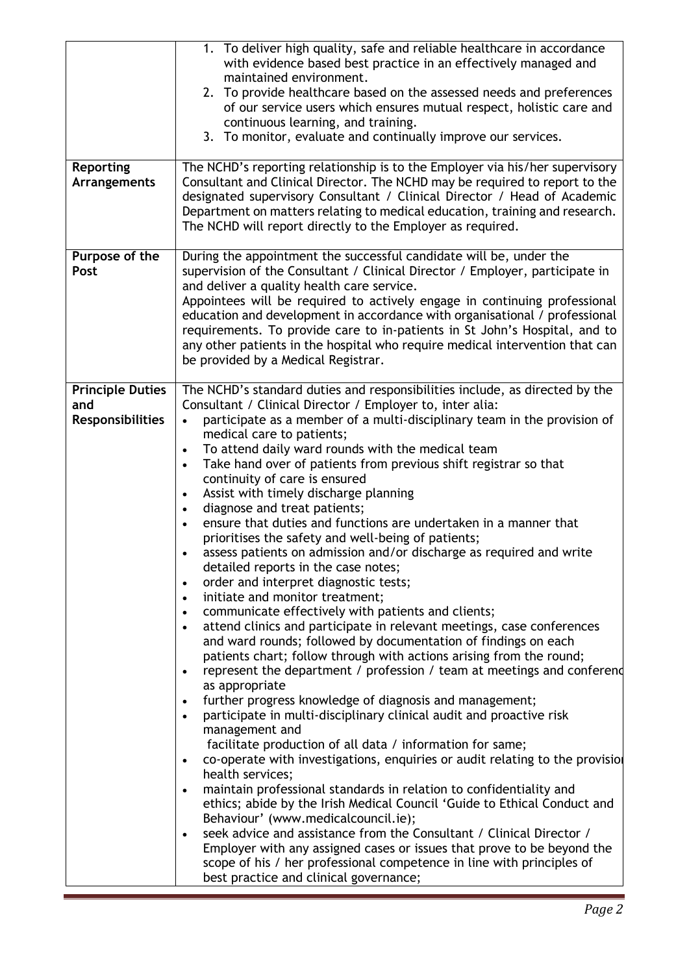| <b>Reporting</b><br><b>Arrangements</b>                   | 1. To deliver high quality, safe and reliable healthcare in accordance<br>with evidence based best practice in an effectively managed and<br>maintained environment.<br>2. To provide healthcare based on the assessed needs and preferences<br>of our service users which ensures mutual respect, holistic care and<br>continuous learning, and training.<br>3. To monitor, evaluate and continually improve our services.<br>The NCHD's reporting relationship is to the Employer via his/her supervisory<br>Consultant and Clinical Director. The NCHD may be required to report to the<br>designated supervisory Consultant / Clinical Director / Head of Academic<br>Department on matters relating to medical education, training and research.<br>The NCHD will report directly to the Employer as required.                                                                                                                                                                                                                                                                                                                                                                                                                                                                                                                                                                                                                                                                                                                                                                                                                                                                                                                                                                                                                                                                                                                                                                                                                                                                                                                                               |
|-----------------------------------------------------------|-------------------------------------------------------------------------------------------------------------------------------------------------------------------------------------------------------------------------------------------------------------------------------------------------------------------------------------------------------------------------------------------------------------------------------------------------------------------------------------------------------------------------------------------------------------------------------------------------------------------------------------------------------------------------------------------------------------------------------------------------------------------------------------------------------------------------------------------------------------------------------------------------------------------------------------------------------------------------------------------------------------------------------------------------------------------------------------------------------------------------------------------------------------------------------------------------------------------------------------------------------------------------------------------------------------------------------------------------------------------------------------------------------------------------------------------------------------------------------------------------------------------------------------------------------------------------------------------------------------------------------------------------------------------------------------------------------------------------------------------------------------------------------------------------------------------------------------------------------------------------------------------------------------------------------------------------------------------------------------------------------------------------------------------------------------------------------------------------------------------------------------------------------------------|
| Purpose of the<br>Post                                    | During the appointment the successful candidate will be, under the<br>supervision of the Consultant / Clinical Director / Employer, participate in<br>and deliver a quality health care service.<br>Appointees will be required to actively engage in continuing professional<br>education and development in accordance with organisational / professional<br>requirements. To provide care to in-patients in St John's Hospital, and to<br>any other patients in the hospital who require medical intervention that can<br>be provided by a Medical Registrar.                                                                                                                                                                                                                                                                                                                                                                                                                                                                                                                                                                                                                                                                                                                                                                                                                                                                                                                                                                                                                                                                                                                                                                                                                                                                                                                                                                                                                                                                                                                                                                                                  |
| <b>Principle Duties</b><br>and<br><b>Responsibilities</b> | The NCHD's standard duties and responsibilities include, as directed by the<br>Consultant / Clinical Director / Employer to, inter alia:<br>participate as a member of a multi-disciplinary team in the provision of<br>medical care to patients;<br>To attend daily ward rounds with the medical team<br>$\bullet$<br>Take hand over of patients from previous shift registrar so that<br>$\bullet$<br>continuity of care is ensured<br>Assist with timely discharge planning<br>$\bullet$<br>diagnose and treat patients;<br>$\bullet$<br>ensure that duties and functions are undertaken in a manner that<br>prioritises the safety and well-being of patients;<br>assess patients on admission and/or discharge as required and write<br>$\bullet$<br>detailed reports in the case notes;<br>order and interpret diagnostic tests;<br>$\bullet$<br>initiate and monitor treatment;<br>$\bullet$<br>communicate effectively with patients and clients;<br>$\bullet$<br>attend clinics and participate in relevant meetings, case conferences<br>$\bullet$<br>and ward rounds; followed by documentation of findings on each<br>patients chart; follow through with actions arising from the round;<br>represent the department / profession / team at meetings and conferend<br>$\bullet$<br>as appropriate<br>further progress knowledge of diagnosis and management;<br>$\bullet$<br>participate in multi-disciplinary clinical audit and proactive risk<br>$\bullet$<br>management and<br>facilitate production of all data / information for same;<br>co-operate with investigations, enquiries or audit relating to the provisio<br>$\bullet$<br>health services;<br>maintain professional standards in relation to confidentiality and<br>$\bullet$<br>ethics; abide by the Irish Medical Council 'Guide to Ethical Conduct and<br>Behaviour' (www.medicalcouncil.ie);<br>seek advice and assistance from the Consultant / Clinical Director /<br>$\bullet$<br>Employer with any assigned cases or issues that prove to be beyond the<br>scope of his / her professional competence in line with principles of<br>best practice and clinical governance; |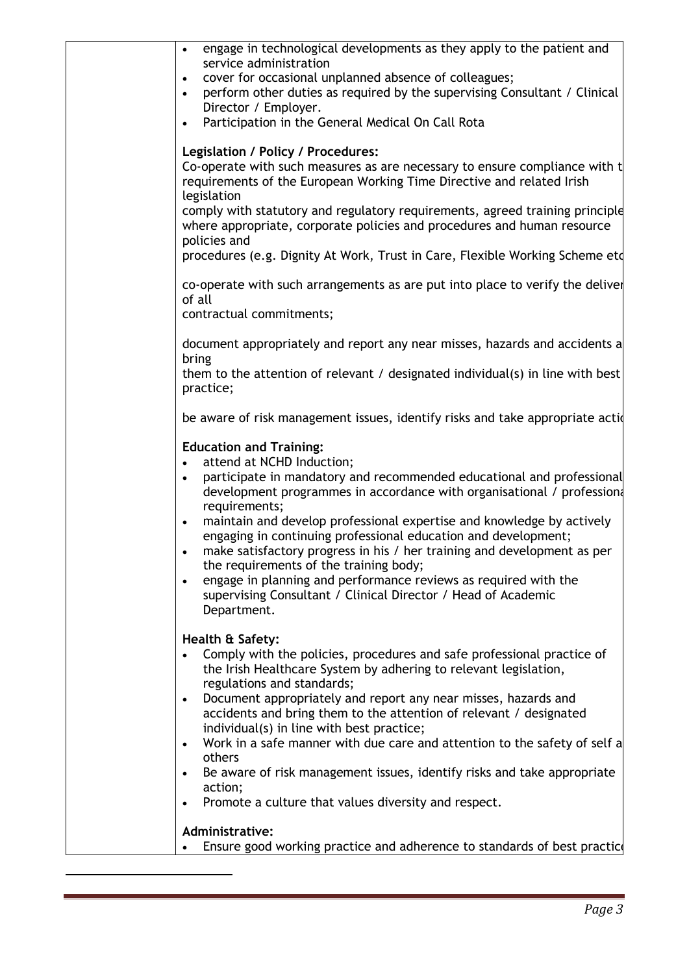| engage in technological developments as they apply to the patient and<br>service administration<br>cover for occasional unplanned absence of colleagues;<br>$\bullet$<br>perform other duties as required by the supervising Consultant / Clinical<br>$\bullet$<br>Director / Employer.<br>Participation in the General Medical On Call Rota<br>$\bullet$                                                                                                                                                                                                                                                                                                                                |
|------------------------------------------------------------------------------------------------------------------------------------------------------------------------------------------------------------------------------------------------------------------------------------------------------------------------------------------------------------------------------------------------------------------------------------------------------------------------------------------------------------------------------------------------------------------------------------------------------------------------------------------------------------------------------------------|
| Legislation / Policy / Procedures:<br>Co-operate with such measures as are necessary to ensure compliance with t<br>requirements of the European Working Time Directive and related Irish<br>legislation                                                                                                                                                                                                                                                                                                                                                                                                                                                                                 |
| comply with statutory and regulatory requirements, agreed training principle<br>where appropriate, corporate policies and procedures and human resource<br>policies and                                                                                                                                                                                                                                                                                                                                                                                                                                                                                                                  |
| procedures (e.g. Dignity At Work, Trust in Care, Flexible Working Scheme etd                                                                                                                                                                                                                                                                                                                                                                                                                                                                                                                                                                                                             |
| co-operate with such arrangements as are put into place to verify the deliver<br>of all<br>contractual commitments;                                                                                                                                                                                                                                                                                                                                                                                                                                                                                                                                                                      |
| document appropriately and report any near misses, hazards and accidents a<br>bring                                                                                                                                                                                                                                                                                                                                                                                                                                                                                                                                                                                                      |
| them to the attention of relevant / designated individual(s) in line with best<br>practice;                                                                                                                                                                                                                                                                                                                                                                                                                                                                                                                                                                                              |
| be aware of risk management issues, identify risks and take appropriate action-                                                                                                                                                                                                                                                                                                                                                                                                                                                                                                                                                                                                          |
| <b>Education and Training:</b><br>attend at NCHD Induction;<br>participate in mandatory and recommended educational and professional<br>development programmes in accordance with organisational / profession<br>requirements;<br>maintain and develop professional expertise and knowledge by actively<br>$\bullet$<br>engaging in continuing professional education and development;<br>make satisfactory progress in his / her training and development as per<br>$\bullet$<br>the requirements of the training body;<br>engage in planning and performance reviews as required with the<br>$\bullet$<br>supervising Consultant / Clinical Director / Head of Academic<br>Department. |
| Health & Safety:<br>Comply with the policies, procedures and safe professional practice of<br>the Irish Healthcare System by adhering to relevant legislation,<br>regulations and standards;<br>Document appropriately and report any near misses, hazards and<br>$\bullet$<br>accidents and bring them to the attention of relevant / designated<br>individual(s) in line with best practice;<br>Work in a safe manner with due care and attention to the safety of self a<br>$\bullet$<br>others<br>Be aware of risk management issues, identify risks and take appropriate<br>$\bullet$<br>action;<br>Promote a culture that values diversity and respect.<br>$\bullet$               |
| Administrative:<br>Ensure good working practice and adherence to standards of best practic                                                                                                                                                                                                                                                                                                                                                                                                                                                                                                                                                                                               |
|                                                                                                                                                                                                                                                                                                                                                                                                                                                                                                                                                                                                                                                                                          |

1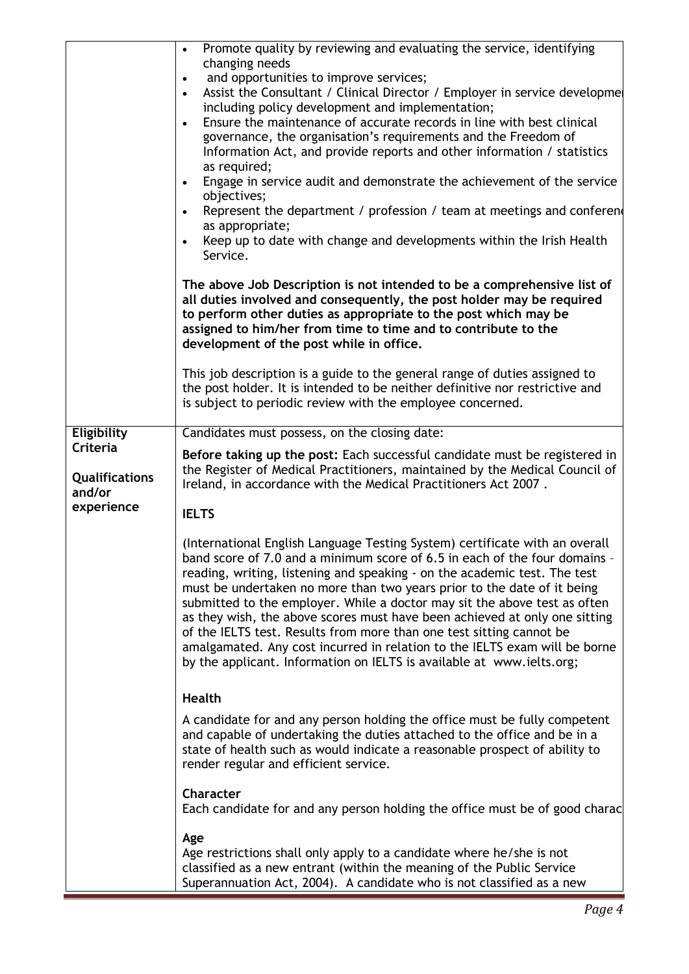|                                             | Promote quality by reviewing and evaluating the service, identifying<br>$\bullet$<br>changing needs<br>and opportunities to improve services;<br>$\bullet$<br>Assist the Consultant / Clinical Director / Employer in service developme<br>$\bullet$<br>including policy development and implementation;<br>Ensure the maintenance of accurate records in line with best clinical<br>$\bullet$<br>governance, the organisation's requirements and the Freedom of<br>Information Act, and provide reports and other information / statistics<br>as required;<br>Engage in service audit and demonstrate the achievement of the service<br>$\bullet$<br>objectives;<br>Represent the department / profession / team at meetings and conferent<br>$\bullet$<br>as appropriate;<br>Keep up to date with change and developments within the Irish Health<br>Service. |
|---------------------------------------------|-----------------------------------------------------------------------------------------------------------------------------------------------------------------------------------------------------------------------------------------------------------------------------------------------------------------------------------------------------------------------------------------------------------------------------------------------------------------------------------------------------------------------------------------------------------------------------------------------------------------------------------------------------------------------------------------------------------------------------------------------------------------------------------------------------------------------------------------------------------------|
|                                             | The above Job Description is not intended to be a comprehensive list of<br>all duties involved and consequently, the post holder may be required<br>to perform other duties as appropriate to the post which may be<br>assigned to him/her from time to time and to contribute to the<br>development of the post while in office.                                                                                                                                                                                                                                                                                                                                                                                                                                                                                                                               |
|                                             | This job description is a guide to the general range of duties assigned to<br>the post holder. It is intended to be neither definitive nor restrictive and<br>is subject to periodic review with the employee concerned.                                                                                                                                                                                                                                                                                                                                                                                                                                                                                                                                                                                                                                        |
| Eligibility                                 | Candidates must possess, on the closing date:                                                                                                                                                                                                                                                                                                                                                                                                                                                                                                                                                                                                                                                                                                                                                                                                                   |
| Criteria<br><b>Qualifications</b><br>and/or | Before taking up the post: Each successful candidate must be registered in<br>the Register of Medical Practitioners, maintained by the Medical Council of<br>Ireland, in accordance with the Medical Practitioners Act 2007.                                                                                                                                                                                                                                                                                                                                                                                                                                                                                                                                                                                                                                    |
| experience                                  | <b>IELTS</b>                                                                                                                                                                                                                                                                                                                                                                                                                                                                                                                                                                                                                                                                                                                                                                                                                                                    |
|                                             | (International English Language Testing System) certificate with an overall<br>band score of 7.0 and a minimum score of 6.5 in each of the four domains -<br>reading, writing, listening and speaking - on the academic test. The test<br>must be undertaken no more than two years prior to the date of it being<br>submitted to the employer. While a doctor may sit the above test as often<br>as they wish, the above scores must have been achieved at only one sitting<br>of the IELTS test. Results from more than one test sitting cannot be<br>amalgamated. Any cost incurred in relation to the IELTS exam will be borne<br>by the applicant. Information on IELTS is available at www.ielts.org;                                                                                                                                                     |
|                                             | Health                                                                                                                                                                                                                                                                                                                                                                                                                                                                                                                                                                                                                                                                                                                                                                                                                                                          |
|                                             | A candidate for and any person holding the office must be fully competent<br>and capable of undertaking the duties attached to the office and be in a<br>state of health such as would indicate a reasonable prospect of ability to<br>render regular and efficient service.                                                                                                                                                                                                                                                                                                                                                                                                                                                                                                                                                                                    |
|                                             | Character<br>Each candidate for and any person holding the office must be of good charac                                                                                                                                                                                                                                                                                                                                                                                                                                                                                                                                                                                                                                                                                                                                                                        |
|                                             | Age<br>Age restrictions shall only apply to a candidate where he/she is not<br>classified as a new entrant (within the meaning of the Public Service<br>Superannuation Act, 2004). A candidate who is not classified as a new                                                                                                                                                                                                                                                                                                                                                                                                                                                                                                                                                                                                                                   |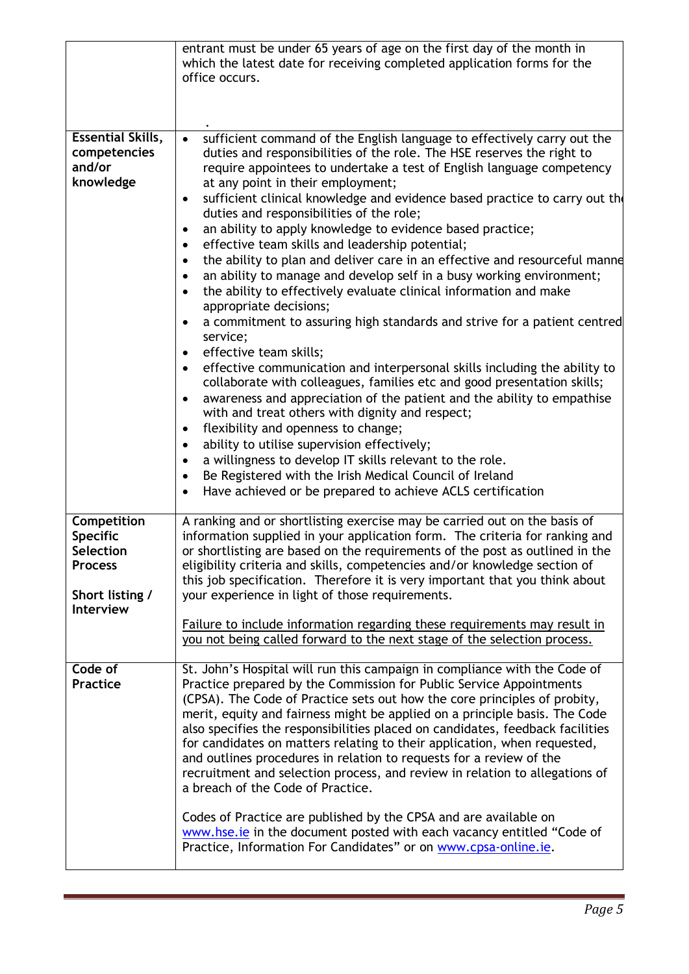|                                                                                                      | entrant must be under 65 years of age on the first day of the month in<br>which the latest date for receiving completed application forms for the<br>office occurs.                                                                                                                                                                                                                                                                                                                                                                                                                                                                                                                                                                                                                                                                                                                                                                                                                                                                                                                                                                                                                                                                                                                                                                                                                                                                                                                                                                                  |
|------------------------------------------------------------------------------------------------------|------------------------------------------------------------------------------------------------------------------------------------------------------------------------------------------------------------------------------------------------------------------------------------------------------------------------------------------------------------------------------------------------------------------------------------------------------------------------------------------------------------------------------------------------------------------------------------------------------------------------------------------------------------------------------------------------------------------------------------------------------------------------------------------------------------------------------------------------------------------------------------------------------------------------------------------------------------------------------------------------------------------------------------------------------------------------------------------------------------------------------------------------------------------------------------------------------------------------------------------------------------------------------------------------------------------------------------------------------------------------------------------------------------------------------------------------------------------------------------------------------------------------------------------------------|
| <b>Essential Skills,</b><br>competencies<br>and/or<br>knowledge                                      | sufficient command of the English language to effectively carry out the<br>duties and responsibilities of the role. The HSE reserves the right to<br>require appointees to undertake a test of English language competency<br>at any point in their employment;<br>sufficient clinical knowledge and evidence based practice to carry out th<br>duties and responsibilities of the role;<br>an ability to apply knowledge to evidence based practice;<br>$\bullet$<br>effective team skills and leadership potential;<br>$\bullet$<br>the ability to plan and deliver care in an effective and resourceful manne<br>$\bullet$<br>an ability to manage and develop self in a busy working environment;<br>٠<br>the ability to effectively evaluate clinical information and make<br>$\bullet$<br>appropriate decisions;<br>a commitment to assuring high standards and strive for a patient centred<br>service;<br>effective team skills;<br>$\bullet$<br>effective communication and interpersonal skills including the ability to<br>$\bullet$<br>collaborate with colleagues, families etc and good presentation skills;<br>awareness and appreciation of the patient and the ability to empathise<br>with and treat others with dignity and respect;<br>flexibility and openness to change;<br>٠<br>ability to utilise supervision effectively;<br>$\bullet$<br>a willingness to develop IT skills relevant to the role.<br>Be Registered with the Irish Medical Council of Ireland<br>Have achieved or be prepared to achieve ACLS certification |
| Competition<br><b>Specific</b><br><b>Selection</b><br><b>Process</b><br>Short listing /<br>Interview | A ranking and or shortlisting exercise may be carried out on the basis of<br>information supplied in your application form. The criteria for ranking and<br>or shortlisting are based on the requirements of the post as outlined in the<br>eligibility criteria and skills, competencies and/or knowledge section of<br>this job specification. Therefore it is very important that you think about<br>your experience in light of those requirements.<br>Failure to include information regarding these requirements may result in<br>you not being called forward to the next stage of the selection process.                                                                                                                                                                                                                                                                                                                                                                                                                                                                                                                                                                                                                                                                                                                                                                                                                                                                                                                                     |
| Code of<br><b>Practice</b>                                                                           | St. John's Hospital will run this campaign in compliance with the Code of<br>Practice prepared by the Commission for Public Service Appointments<br>(CPSA). The Code of Practice sets out how the core principles of probity,<br>merit, equity and fairness might be applied on a principle basis. The Code<br>also specifies the responsibilities placed on candidates, feedback facilities<br>for candidates on matters relating to their application, when requested,<br>and outlines procedures in relation to requests for a review of the<br>recruitment and selection process, and review in relation to allegations of<br>a breach of the Code of Practice.<br>Codes of Practice are published by the CPSA and are available on<br>www.hse.ie in the document posted with each vacancy entitled "Code of<br>Practice, Information For Candidates" or on www.cpsa-online.ie.                                                                                                                                                                                                                                                                                                                                                                                                                                                                                                                                                                                                                                                                  |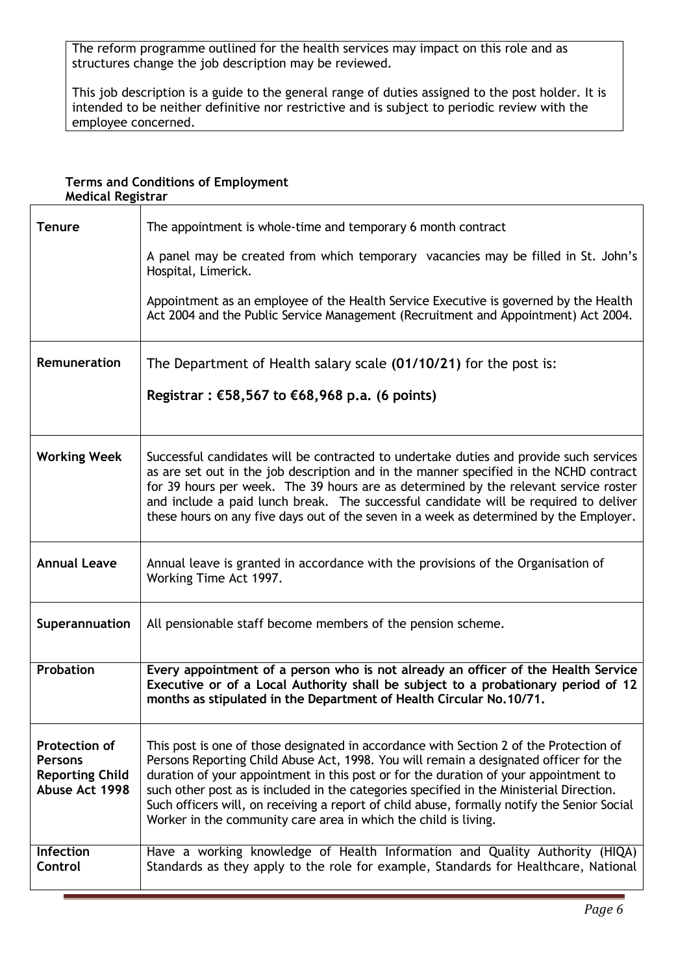The reform programme outlined for the health services may impact on this role and as structures change the job description may be reviewed.

This job description is a guide to the general range of duties assigned to the post holder. It is intended to be neither definitive nor restrictive and is subject to periodic review with the employee concerned.

## **Terms and Conditions of Employment Medical Registrar**

| <b>Tenure</b>                                                                      | The appointment is whole-time and temporary 6 month contract                                                                                                                                                                                                                                                                                                                                                                                                                                                                          |
|------------------------------------------------------------------------------------|---------------------------------------------------------------------------------------------------------------------------------------------------------------------------------------------------------------------------------------------------------------------------------------------------------------------------------------------------------------------------------------------------------------------------------------------------------------------------------------------------------------------------------------|
|                                                                                    | A panel may be created from which temporary vacancies may be filled in St. John's<br>Hospital, Limerick.                                                                                                                                                                                                                                                                                                                                                                                                                              |
|                                                                                    | Appointment as an employee of the Health Service Executive is governed by the Health<br>Act 2004 and the Public Service Management (Recruitment and Appointment) Act 2004.                                                                                                                                                                                                                                                                                                                                                            |
| Remuneration                                                                       | The Department of Health salary scale (01/10/21) for the post is:                                                                                                                                                                                                                                                                                                                                                                                                                                                                     |
|                                                                                    | Registrar : €58,567 to €68,968 p.a. (6 points)                                                                                                                                                                                                                                                                                                                                                                                                                                                                                        |
| <b>Working Week</b>                                                                | Successful candidates will be contracted to undertake duties and provide such services<br>as are set out in the job description and in the manner specified in the NCHD contract<br>for 39 hours per week. The 39 hours are as determined by the relevant service roster<br>and include a paid lunch break. The successful candidate will be required to deliver<br>these hours on any five days out of the seven in a week as determined by the Employer.                                                                            |
| <b>Annual Leave</b>                                                                | Annual leave is granted in accordance with the provisions of the Organisation of<br>Working Time Act 1997.                                                                                                                                                                                                                                                                                                                                                                                                                            |
| Superannuation                                                                     | All pensionable staff become members of the pension scheme.                                                                                                                                                                                                                                                                                                                                                                                                                                                                           |
| Probation                                                                          | Every appointment of a person who is not already an officer of the Health Service<br>Executive or of a Local Authority shall be subject to a probationary period of 12<br>months as stipulated in the Department of Health Circular No.10/71.                                                                                                                                                                                                                                                                                         |
| <b>Protection of</b><br><b>Persons</b><br><b>Reporting Child</b><br>Abuse Act 1998 | This post is one of those designated in accordance with Section 2 of the Protection of<br>Persons Reporting Child Abuse Act, 1998. You will remain a designated officer for the<br>duration of your appointment in this post or for the duration of your appointment to<br>such other post as is included in the categories specified in the Ministerial Direction.<br>Such officers will, on receiving a report of child abuse, formally notify the Senior Social<br>Worker in the community care area in which the child is living. |
| Infection<br>Control                                                               | Have a working knowledge of Health Information and Quality Authority (HIQA)<br>Standards as they apply to the role for example, Standards for Healthcare, National                                                                                                                                                                                                                                                                                                                                                                    |